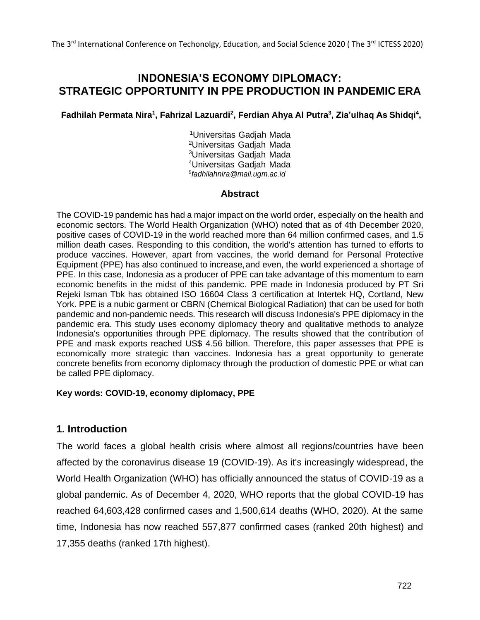# **INDONESIA'S ECONOMY DIPLOMACY: STRATEGIC OPPORTUNITY IN PPE PRODUCTION IN PANDEMIC ERA**

**Fadhilah Permata Nira<sup>1</sup> , Fahrizal Lazuardi<sup>2</sup> , Ferdian Ahya Al Putra<sup>3</sup> , Zia'ulhaq As Shidqi<sup>4</sup> ,**

Universitas Gadjah Mada Universitas Gadjah Mada Universitas Gadjah Mada Universitas Gadjah Mada *[fadhilahnira@mail.ugm.ac.id](mailto:5fadhilahnira@mail.ugm.ac.id)*

### **Abstract**

The COVID-19 pandemic has had a major impact on the world order, especially on the health and economic sectors. The World Health Organization (WHO) noted that as of 4th December 2020, positive cases of COVID-19 in the world reached more than 64 million confirmed cases, and 1.5 million death cases. Responding to this condition, the world's attention has turned to efforts to produce vaccines. However, apart from vaccines, the world demand for Personal Protective Equipment (PPE) has also continued to increase,and even, the world experienced a shortage of PPE. In this case, Indonesia as a producer of PPE can take advantage of this momentum to earn economic benefits in the midst of this pandemic. PPE made in Indonesia produced by PT Sri Rejeki Isman Tbk has obtained ISO 16604 Class 3 certification at Intertek HQ, Cortland, New York. PPE is a nubic garment or CBRN (Chemical Biological Radiation) that can be used for both pandemic and non-pandemic needs. This research will discuss Indonesia's PPE diplomacy in the pandemic era. This study uses economy diplomacy theory and qualitative methods to analyze Indonesia's opportunities through PPE diplomacy. The results showed that the contribution of PPE and mask exports reached US\$ 4.56 billion. Therefore, this paper assesses that PPE is economically more strategic than vaccines. Indonesia has a great opportunity to generate concrete benefits from economy diplomacy through the production of domestic PPE or what can be called PPE diplomacy.

#### **Key words: COVID-19, economy diplomacy, PPE**

## **1. Introduction**

The world faces a global health crisis where almost all regions/countries have been affected by the coronavirus disease 19 (COVID-19). As it's increasingly widespread, the World Health Organization (WHO) has officially announced the status of COVID-19 as a global pandemic. As of December 4, 2020, WHO reports that the global COVID-19 has reached 64,603,428 confirmed cases and 1,500,614 deaths (WHO, 2020). At the same time, Indonesia has now reached 557,877 confirmed cases (ranked 20th highest) and 17,355 deaths (ranked 17th highest).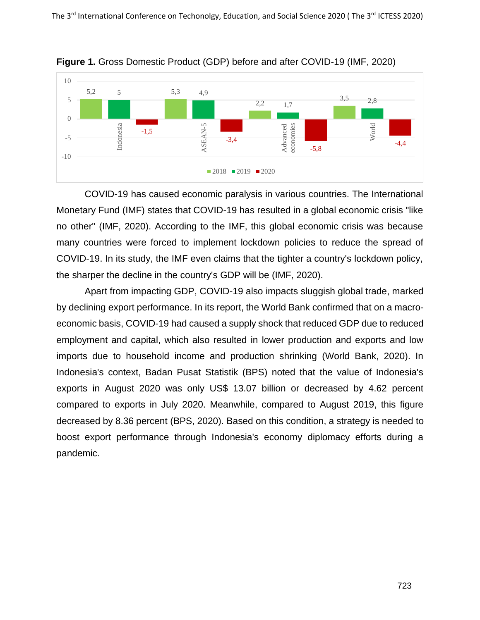

**Figure 1.** Gross Domestic Product (GDP) before and after COVID-19 (IMF, 2020)

COVID-19 has caused economic paralysis in various countries. The International Monetary Fund (IMF) states that COVID-19 has resulted in a global economic crisis "like no other" (IMF, 2020). According to the IMF, this global economic crisis was because many countries were forced to implement lockdown policies to reduce the spread of COVID-19. In its study, the IMF even claims that the tighter a country's lockdown policy, the sharper the decline in the country's GDP will be (IMF, 2020).

Apart from impacting GDP, COVID-19 also impacts sluggish global trade, marked by declining export performance. In its report, the World Bank confirmed that on a macroeconomic basis, COVID-19 had caused a supply shock that reduced GDP due to reduced employment and capital, which also resulted in lower production and exports and low imports due to household income and production shrinking (World Bank, 2020). In Indonesia's context, Badan Pusat Statistik (BPS) noted that the value of Indonesia's exports in August 2020 was only US\$ 13.07 billion or decreased by 4.62 percent compared to exports in July 2020. Meanwhile, compared to August 2019, this figure decreased by 8.36 percent (BPS, 2020). Based on this condition, a strategy is needed to boost export performance through Indonesia's economy diplomacy efforts during a pandemic.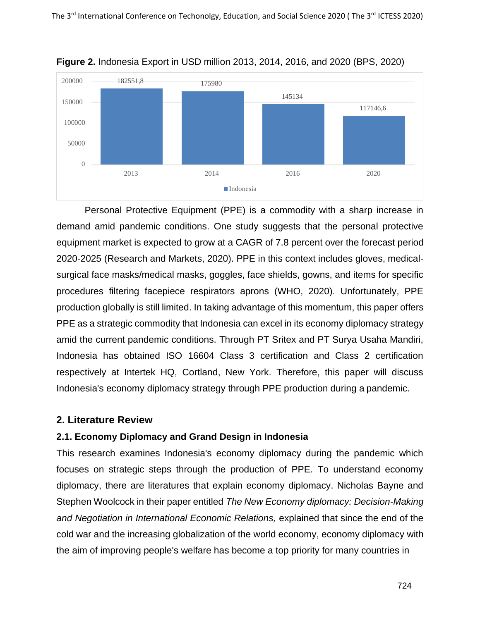

**Figure 2.** Indonesia Export in USD million 2013, 2014, 2016, and 2020 (BPS, 2020)

Personal Protective Equipment (PPE) is a commodity with a sharp increase in demand amid pandemic conditions. One study suggests that the personal protective equipment market is expected to grow at a CAGR of 7.8 percent over the forecast period 2020-2025 (Research and Markets, 2020). PPE in this context includes gloves, medicalsurgical face masks/medical masks, goggles, face shields, gowns, and items for specific procedures filtering facepiece respirators aprons (WHO, 2020). Unfortunately, PPE production globally is still limited. In taking advantage of this momentum, this paper offers PPE as a strategic commodity that Indonesia can excel in its economy diplomacy strategy amid the current pandemic conditions. Through PT Sritex and PT Surya Usaha Mandiri, Indonesia has obtained ISO 16604 Class 3 certification and Class 2 certification respectively at Intertek HQ, Cortland, New York. Therefore, this paper will discuss Indonesia's economy diplomacy strategy through PPE production during a pandemic.

## **2. Literature Review**

## **2.1. Economy Diplomacy and Grand Design in Indonesia**

This research examines Indonesia's economy diplomacy during the pandemic which focuses on strategic steps through the production of PPE. To understand economy diplomacy, there are literatures that explain economy diplomacy. Nicholas Bayne and Stephen Woolcock in their paper entitled *The New Economy diplomacy: Decision-Making and Negotiation in International Economic Relations,* explained that since the end of the cold war and the increasing globalization of the world economy, economy diplomacy with the aim of improving people's welfare has become a top priority for many countries in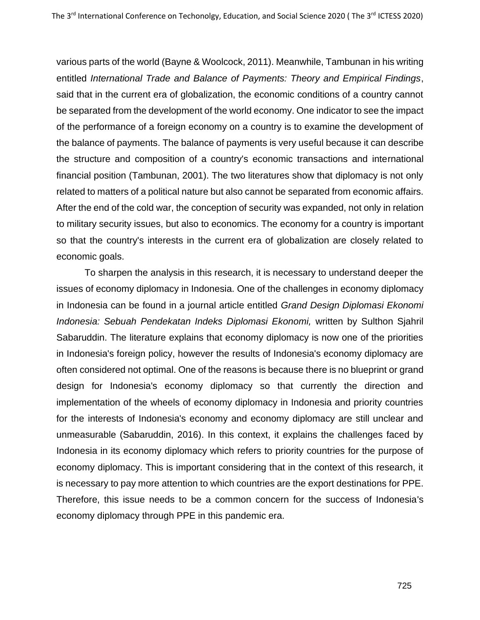various parts of the world (Bayne & Woolcock, 2011). Meanwhile, Tambunan in his writing entitled *International Trade and Balance of Payments: Theory and Empirical Findings*, said that in the current era of globalization, the economic conditions of a country cannot be separated from the development of the world economy. One indicator to see the impact of the performance of a foreign economy on a country is to examine the development of the balance of payments. The balance of payments is very useful because it can describe the structure and composition of a country's economic transactions and international financial position (Tambunan, 2001). The two literatures show that diplomacy is not only related to matters of a political nature but also cannot be separated from economic affairs. After the end of the cold war, the conception of security was expanded, not only in relation to military security issues, but also to economics. The economy for a country is important so that the country's interests in the current era of globalization are closely related to economic goals.

To sharpen the analysis in this research, it is necessary to understand deeper the issues of economy diplomacy in Indonesia. One of the challenges in economy diplomacy in Indonesia can be found in a journal article entitled *Grand Design Diplomasi Ekonomi Indonesia: Sebuah Pendekatan Indeks Diplomasi Ekonomi,* written by Sulthon Sjahril Sabaruddin. The literature explains that economy diplomacy is now one of the priorities in Indonesia's foreign policy, however the results of Indonesia's economy diplomacy are often considered not optimal. One of the reasons is because there is no blueprint or grand design for Indonesia's economy diplomacy so that currently the direction and implementation of the wheels of economy diplomacy in Indonesia and priority countries for the interests of Indonesia's economy and economy diplomacy are still unclear and unmeasurable (Sabaruddin, 2016). In this context, it explains the challenges faced by Indonesia in its economy diplomacy which refers to priority countries for the purpose of economy diplomacy. This is important considering that in the context of this research, it is necessary to pay more attention to which countries are the export destinations for PPE. Therefore, this issue needs to be a common concern for the success of Indonesia's economy diplomacy through PPE in this pandemic era.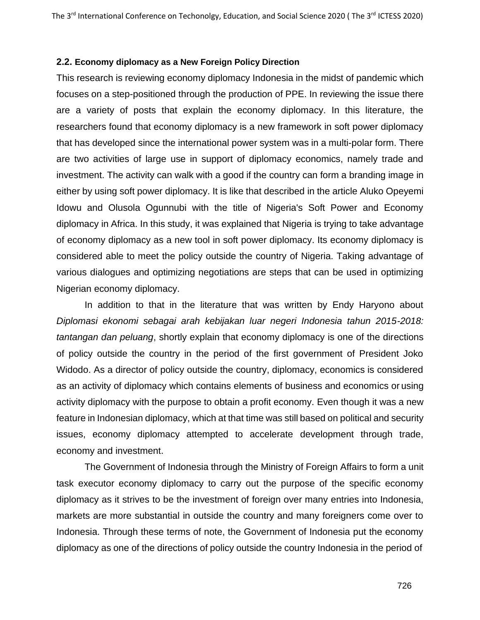#### **2.2. Economy diplomacy as a New Foreign Policy Direction**

This research is reviewing economy diplomacy Indonesia in the midst of pandemic which focuses on a step-positioned through the production of PPE. In reviewing the issue there are a variety of posts that explain the economy diplomacy. In this literature, the researchers found that economy diplomacy is a new framework in soft power diplomacy that has developed since the international power system was in a multi-polar form. There are two activities of large use in support of diplomacy economics, namely trade and investment. The activity can walk with a good if the country can form a branding image in either by using soft power diplomacy. It is like that described in the article Aluko Opeyemi Idowu and Olusola Ogunnubi with the title of Nigeria's Soft Power and Economy diplomacy in Africa. In this study, it was explained that Nigeria is trying to take advantage of economy diplomacy as a new tool in soft power diplomacy. Its economy diplomacy is considered able to meet the policy outside the country of Nigeria. Taking advantage of various dialogues and optimizing negotiations are steps that can be used in optimizing Nigerian economy diplomacy.

In addition to that in the literature that was written by Endy Haryono about *Diplomasi ekonomi sebagai arah kebijakan luar negeri Indonesia tahun 2015-2018: tantangan dan peluang*, shortly explain that economy diplomacy is one of the directions of policy outside the country in the period of the first government of President Joko Widodo. As a director of policy outside the country, diplomacy, economics is considered as an activity of diplomacy which contains elements of business and economics or using activity diplomacy with the purpose to obtain a profit economy. Even though it was a new feature in Indonesian diplomacy, which at that time was still based on political and security issues, economy diplomacy attempted to accelerate development through trade, economy and investment.

The Government of Indonesia through the Ministry of Foreign Affairs to form a unit task executor economy diplomacy to carry out the purpose of the specific economy diplomacy as it strives to be the investment of foreign over many entries into Indonesia, markets are more substantial in outside the country and many foreigners come over to Indonesia. Through these terms of note, the Government of Indonesia put the economy diplomacy as one of the directions of policy outside the country Indonesia in the period of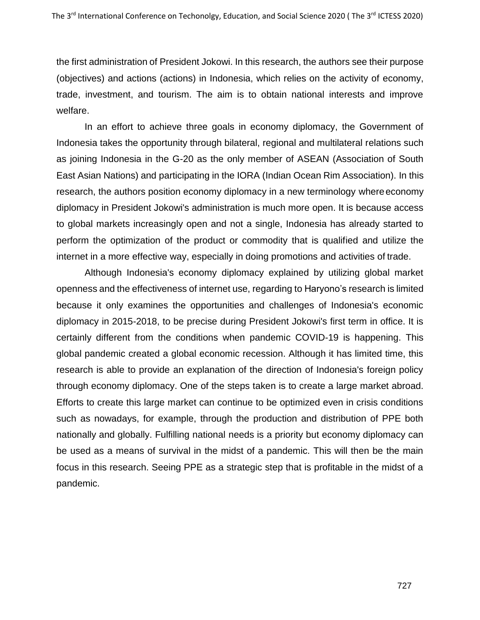the first administration of President Jokowi. In this research, the authors see their purpose (objectives) and actions (actions) in Indonesia, which relies on the activity of economy, trade, investment, and tourism. The aim is to obtain national interests and improve welfare.

In an effort to achieve three goals in economy diplomacy, the Government of Indonesia takes the opportunity through bilateral, regional and multilateral relations such as joining Indonesia in the G-20 as the only member of ASEAN (Association of South East Asian Nations) and participating in the IORA (Indian Ocean Rim Association). In this research, the authors position economy diplomacy in a new terminology whereeconomy diplomacy in President Jokowi's administration is much more open. It is because access to global markets increasingly open and not a single, Indonesia has already started to perform the optimization of the product or commodity that is qualified and utilize the internet in a more effective way, especially in doing promotions and activities of trade.

Although Indonesia's economy diplomacy explained by utilizing global market openness and the effectiveness of internet use, regarding to Haryono's research is limited because it only examines the opportunities and challenges of Indonesia's economic diplomacy in 2015-2018, to be precise during President Jokowi's first term in office. It is certainly different from the conditions when pandemic COVID-19 is happening. This global pandemic created a global economic recession. Although it has limited time, this research is able to provide an explanation of the direction of Indonesia's foreign policy through economy diplomacy. One of the steps taken is to create a large market abroad. Efforts to create this large market can continue to be optimized even in crisis conditions such as nowadays, for example, through the production and distribution of PPE both nationally and globally. Fulfilling national needs is a priority but economy diplomacy can be used as a means of survival in the midst of a pandemic. This will then be the main focus in this research. Seeing PPE as a strategic step that is profitable in the midst of a pandemic.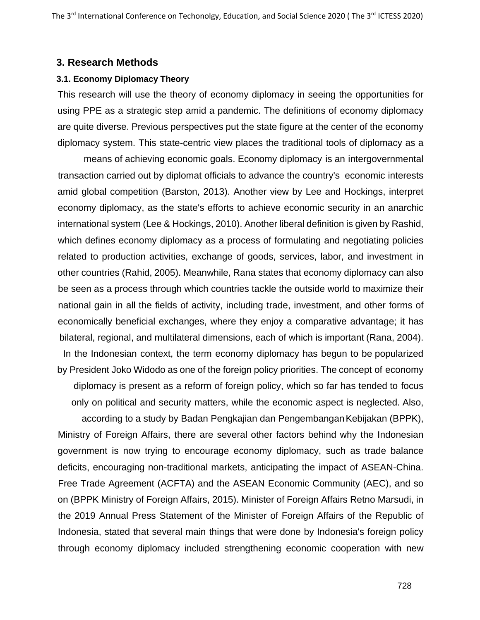#### **3. Research Methods**

#### **3.1. Economy Diplomacy Theory**

This research will use the theory of economy diplomacy in seeing the opportunities for using PPE as a strategic step amid a pandemic. The definitions of economy diplomacy are quite diverse. Previous perspectives put the state figure at the center of the economy diplomacy system. This state-centric view places the traditional tools of diplomacy as a

means of achieving economic goals. Economy diplomacy is an intergovernmental transaction carried out by diplomat officials to advance the country's economic interests amid global competition (Barston, 2013). Another view by Lee and Hockings, interpret economy diplomacy, as the state's efforts to achieve economic security in an anarchic international system (Lee & Hockings, 2010). Another liberal definition is given by Rashid, which defines economy diplomacy as a process of formulating and negotiating policies related to production activities, exchange of goods, services, labor, and investment in other countries (Rahid, 2005). Meanwhile, Rana states that economy diplomacy can also be seen as a process through which countries tackle the outside world to maximize their national gain in all the fields of activity, including trade, investment, and other forms of economically beneficial exchanges, where they enjoy a comparative advantage; it has bilateral, regional, and multilateral dimensions, each of which is important (Rana, 2004). In the Indonesian context, the term economy diplomacy has begun to be popularized

by President Joko Widodo as one of the foreign policy priorities. The concept of economy diplomacy is present as a reform of foreign policy, which so far has tended to focus only on political and security matters, while the economic aspect is neglected. Also,

according to a study by Badan Pengkajian dan PengembanganKebijakan (BPPK), Ministry of Foreign Affairs, there are several other factors behind why the Indonesian government is now trying to encourage economy diplomacy, such as trade balance deficits, encouraging non-traditional markets, anticipating the impact of ASEAN-China. Free Trade Agreement (ACFTA) and the ASEAN Economic Community (AEC), and so on (BPPK Ministry of Foreign Affairs, 2015). Minister of Foreign Affairs Retno Marsudi, in the 2019 Annual Press Statement of the Minister of Foreign Affairs of the Republic of Indonesia, stated that several main things that were done by Indonesia's foreign policy through economy diplomacy included strengthening economic cooperation with new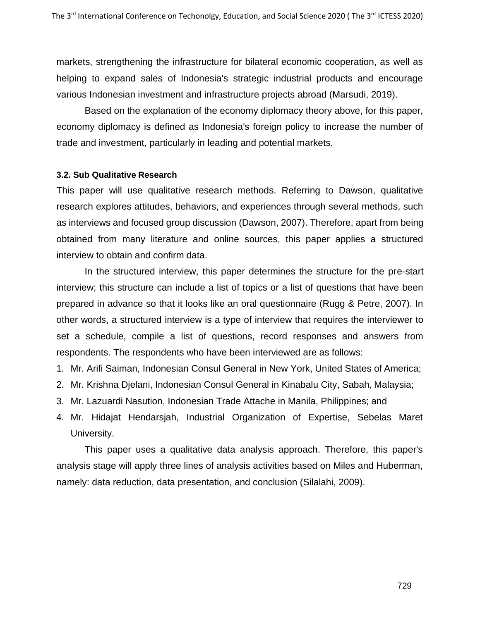markets, strengthening the infrastructure for bilateral economic cooperation, as well as helping to expand sales of Indonesia's strategic industrial products and encourage various Indonesian investment and infrastructure projects abroad (Marsudi, 2019).

Based on the explanation of the economy diplomacy theory above, for this paper, economy diplomacy is defined as Indonesia's foreign policy to increase the number of trade and investment, particularly in leading and potential markets.

### **3.2. Sub Qualitative Research**

This paper will use qualitative research methods. Referring to Dawson, qualitative research explores attitudes, behaviors, and experiences through several methods, such as interviews and focused group discussion (Dawson, 2007). Therefore, apart from being obtained from many literature and online sources, this paper applies a structured interview to obtain and confirm data.

In the structured interview, this paper determines the structure for the pre-start interview; this structure can include a list of topics or a list of questions that have been prepared in advance so that it looks like an oral questionnaire (Rugg & Petre, 2007). In other words, a structured interview is a type of interview that requires the interviewer to set a schedule, compile a list of questions, record responses and answers from respondents. The respondents who have been interviewed are as follows:

- 1. Mr. Arifi Saiman, Indonesian Consul General in New York, United States of America;
- 2. Mr. Krishna Djelani, Indonesian Consul General in Kinabalu City, Sabah, Malaysia;
- 3. Mr. Lazuardi Nasution, Indonesian Trade Attache in Manila, Philippines; and
- 4. Mr. Hidajat Hendarsjah, Industrial Organization of Expertise, Sebelas Maret University.

This paper uses a qualitative data analysis approach. Therefore, this paper's analysis stage will apply three lines of analysis activities based on Miles and Huberman, namely: data reduction, data presentation, and conclusion (Silalahi, 2009).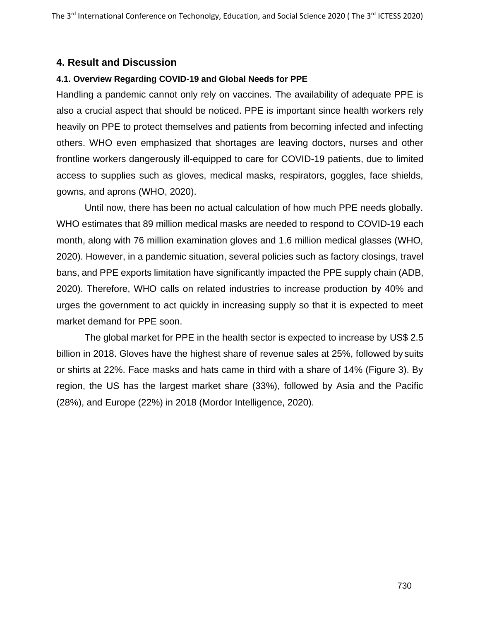# **4. Result and Discussion**

## **4.1. Overview Regarding COVID-19 and Global Needs for PPE**

Handling a pandemic cannot only rely on vaccines. The availability of adequate PPE is also a crucial aspect that should be noticed. PPE is important since health workers rely heavily on PPE to protect themselves and patients from becoming infected and infecting others. WHO even emphasized that shortages are leaving doctors, nurses and other frontline workers dangerously ill-equipped to care for COVID-19 patients, due to limited access to supplies such as gloves, medical masks, respirators, goggles, face shields, gowns, and aprons (WHO, 2020).

Until now, there has been no actual calculation of how much PPE needs globally. WHO estimates that 89 million medical masks are needed to respond to COVID-19 each month, along with 76 million examination gloves and 1.6 million medical glasses (WHO, 2020). However, in a pandemic situation, several policies such as factory closings, travel bans, and PPE exports limitation have significantly impacted the PPE supply chain (ADB, 2020). Therefore, WHO calls on related industries to increase production by 40% and urges the government to act quickly in increasing supply so that it is expected to meet market demand for PPE soon.

The global market for PPE in the health sector is expected to increase by US\$ 2.5 billion in 2018. Gloves have the highest share of revenue sales at 25%, followed by suits or shirts at 22%. Face masks and hats came in third with a share of 14% (Figure 3). By region, the US has the largest market share (33%), followed by Asia and the Pacific (28%), and Europe (22%) in 2018 (Mordor Intelligence, 2020).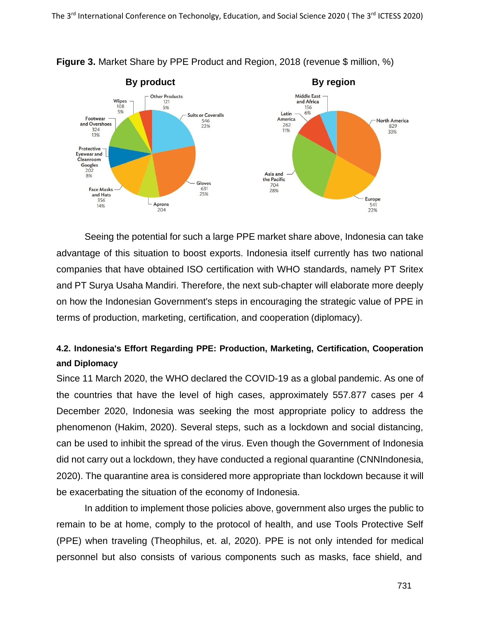

**Figure 3.** Market Share by PPE Product and Region, 2018 (revenue \$ million, %)

Seeing the potential for such a large PPE market share above, Indonesia can take advantage of this situation to boost exports. Indonesia itself currently has two national companies that have obtained ISO certification with WHO standards, namely PT Sritex and PT Surya Usaha Mandiri. Therefore, the next sub-chapter will elaborate more deeply on how the Indonesian Government's steps in encouraging the strategic value of PPE in terms of production, marketing, certification, and cooperation (diplomacy).

# **4.2. Indonesia's Effort Regarding PPE: Production, Marketing, Certification, Cooperation and Diplomacy**

Since 11 March 2020, the WHO declared the COVID-19 as a global pandemic. As one of the countries that have the level of high cases, approximately 557.877 cases per 4 December 2020, Indonesia was seeking the most appropriate policy to address the phenomenon (Hakim, 2020). Several steps, such as a lockdown and social distancing, can be used to inhibit the spread of the virus. Even though the Government of Indonesia did not carry out a lockdown, they have conducted a regional quarantine (CNNIndonesia, 2020). The quarantine area is considered more appropriate than lockdown because it will be exacerbating the situation of the economy of Indonesia.

In addition to implement those policies above, government also urges the public to remain to be at home, comply to the protocol of health, and use Tools Protective Self (PPE) when traveling (Theophilus, et. al, 2020). PPE is not only intended for medical personnel but also consists of various components such as masks, face shield, and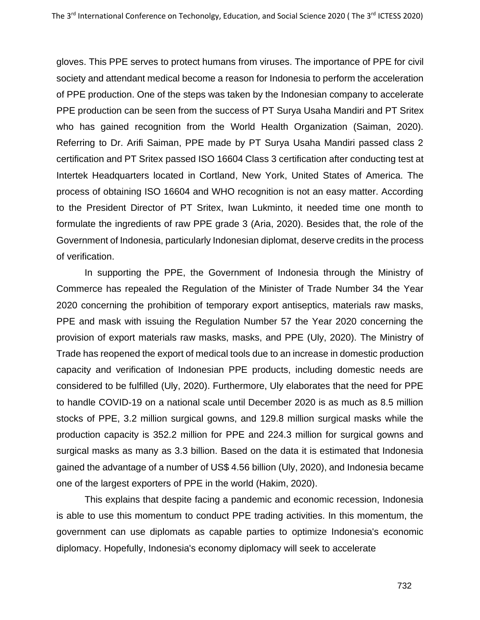gloves. This PPE serves to protect humans from viruses. The importance of PPE for civil society and attendant medical become a reason for Indonesia to perform the acceleration of PPE production. One of the steps was taken by the Indonesian company to accelerate PPE production can be seen from the success of PT Surya Usaha Mandiri and PT Sritex who has gained recognition from the World Health Organization (Saiman, 2020). Referring to Dr. Arifi Saiman, PPE made by PT Surya Usaha Mandiri passed class 2 certification and PT Sritex passed ISO 16604 Class 3 certification after conducting test at Intertek Headquarters located in Cortland, New York, United States of America. The process of obtaining ISO 16604 and WHO recognition is not an easy matter. According to the President Director of PT Sritex, Iwan Lukminto, it needed time one month to formulate the ingredients of raw PPE grade 3 (Aria, 2020). Besides that, the role of the Government of Indonesia, particularly Indonesian diplomat, deserve credits in the process of verification.

In supporting the PPE, the Government of Indonesia through the Ministry of Commerce has repealed the Regulation of the Minister of Trade Number 34 the Year 2020 concerning the prohibition of temporary export antiseptics, materials raw masks, PPE and mask with issuing the Regulation Number 57 the Year 2020 concerning the provision of export materials raw masks, masks, and PPE (Uly, 2020). The Ministry of Trade has reopened the export of medical tools due to an increase in domestic production capacity and verification of Indonesian PPE products, including domestic needs are considered to be fulfilled (Uly, 2020). Furthermore, Uly elaborates that the need for PPE to handle COVID-19 on a national scale until December 2020 is as much as 8.5 million stocks of PPE, 3.2 million surgical gowns, and 129.8 million surgical masks while the production capacity is 352.2 million for PPE and 224.3 million for surgical gowns and surgical masks as many as 3.3 billion. Based on the data it is estimated that Indonesia gained the advantage of a number of US\$ 4.56 billion (Uly, 2020), and Indonesia became one of the largest exporters of PPE in the world (Hakim, 2020).

This explains that despite facing a pandemic and economic recession, Indonesia is able to use this momentum to conduct PPE trading activities. In this momentum, the government can use diplomats as capable parties to optimize Indonesia's economic diplomacy. Hopefully, Indonesia's economy diplomacy will seek to accelerate

732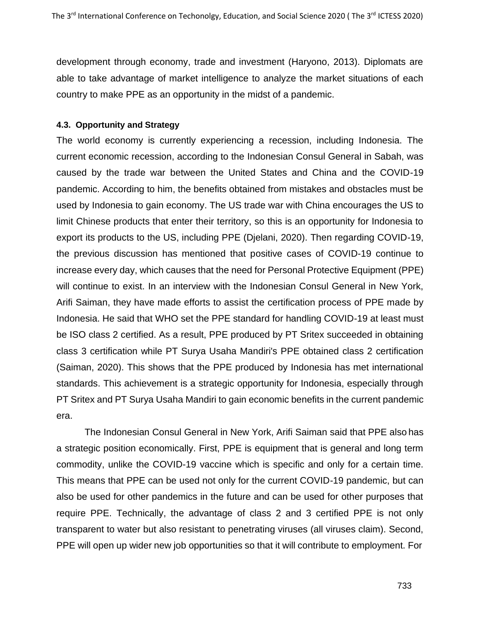development through economy, trade and investment (Haryono, 2013). Diplomats are able to take advantage of market intelligence to analyze the market situations of each country to make PPE as an opportunity in the midst of a pandemic.

## **4.3. Opportunity and Strategy**

The world economy is currently experiencing a recession, including Indonesia. The current economic recession, according to the Indonesian Consul General in Sabah, was caused by the trade war between the United States and China and the COVID-19 pandemic. According to him, the benefits obtained from mistakes and obstacles must be used by Indonesia to gain economy. The US trade war with China encourages the US to limit Chinese products that enter their territory, so this is an opportunity for Indonesia to export its products to the US, including PPE (Djelani, 2020). Then regarding COVID-19, the previous discussion has mentioned that positive cases of COVID-19 continue to increase every day, which causes that the need for Personal Protective Equipment (PPE) will continue to exist. In an interview with the Indonesian Consul General in New York, Arifi Saiman, they have made efforts to assist the certification process of PPE made by Indonesia. He said that WHO set the PPE standard for handling COVID-19 at least must be ISO class 2 certified. As a result, PPE produced by PT Sritex succeeded in obtaining class 3 certification while PT Surya Usaha Mandiri's PPE obtained class 2 certification (Saiman, 2020). This shows that the PPE produced by Indonesia has met international standards. This achievement is a strategic opportunity for Indonesia, especially through PT Sritex and PT Surya Usaha Mandiri to gain economic benefits in the current pandemic era.

The Indonesian Consul General in New York, Arifi Saiman said that PPE also has a strategic position economically. First, PPE is equipment that is general and long term commodity, unlike the COVID-19 vaccine which is specific and only for a certain time. This means that PPE can be used not only for the current COVID-19 pandemic, but can also be used for other pandemics in the future and can be used for other purposes that require PPE. Technically, the advantage of class 2 and 3 certified PPE is not only transparent to water but also resistant to penetrating viruses (all viruses claim). Second, PPE will open up wider new job opportunities so that it will contribute to employment. For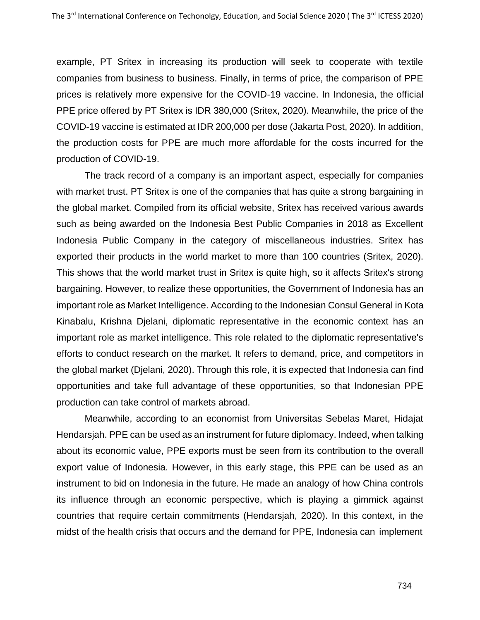example, PT Sritex in increasing its production will seek to cooperate with textile companies from business to business. Finally, in terms of price, the comparison of PPE prices is relatively more expensive for the COVID-19 vaccine. In Indonesia, the official PPE price offered by PT Sritex is IDR 380,000 (Sritex, 2020). Meanwhile, the price of the COVID-19 vaccine is estimated at IDR 200,000 per dose (Jakarta Post, 2020). In addition, the production costs for PPE are much more affordable for the costs incurred for the production of COVID-19.

The track record of a company is an important aspect, especially for companies with market trust. PT Sritex is one of the companies that has quite a strong bargaining in the global market. Compiled from its official website, Sritex has received various awards such as being awarded on the Indonesia Best Public Companies in 2018 as Excellent Indonesia Public Company in the category of miscellaneous industries. Sritex has exported their products in the world market to more than 100 countries (Sritex, 2020). This shows that the world market trust in Sritex is quite high, so it affects Sritex's strong bargaining. However, to realize these opportunities, the Government of Indonesia has an important role as Market Intelligence. According to the Indonesian Consul General in Kota Kinabalu, Krishna Djelani, diplomatic representative in the economic context has an important role as market intelligence. This role related to the diplomatic representative's efforts to conduct research on the market. It refers to demand, price, and competitors in the global market (Djelani, 2020). Through this role, it is expected that Indonesia can find opportunities and take full advantage of these opportunities, so that Indonesian PPE production can take control of markets abroad.

Meanwhile, according to an economist from Universitas Sebelas Maret, Hidajat Hendarsjah. PPE can be used as an instrument for future diplomacy. Indeed, when talking about its economic value, PPE exports must be seen from its contribution to the overall export value of Indonesia. However, in this early stage, this PPE can be used as an instrument to bid on Indonesia in the future. He made an analogy of how China controls its influence through an economic perspective, which is playing a gimmick against countries that require certain commitments (Hendarsjah, 2020). In this context, in the midst of the health crisis that occurs and the demand for PPE, Indonesia can implement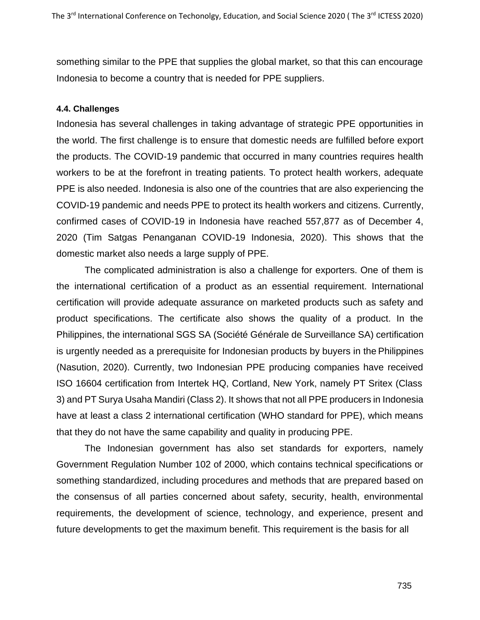something similar to the PPE that supplies the global market, so that this can encourage Indonesia to become a country that is needed for PPE suppliers.

#### **4.4. Challenges**

Indonesia has several challenges in taking advantage of strategic PPE opportunities in the world. The first challenge is to ensure that domestic needs are fulfilled before export the products. The COVID-19 pandemic that occurred in many countries requires health workers to be at the forefront in treating patients. To protect health workers, adequate PPE is also needed. Indonesia is also one of the countries that are also experiencing the COVID-19 pandemic and needs PPE to protect its health workers and citizens. Currently, confirmed cases of COVID-19 in Indonesia have reached 557,877 as of December 4, 2020 (Tim Satgas Penanganan COVID-19 Indonesia, 2020). This shows that the domestic market also needs a large supply of PPE.

The complicated administration is also a challenge for exporters. One of them is the international certification of a product as an essential requirement. International certification will provide adequate assurance on marketed products such as safety and product specifications. The certificate also shows the quality of a product. In the Philippines, the international SGS SA (Société Générale de Surveillance SA) certification is urgently needed as a prerequisite for Indonesian products by buyers in the Philippines (Nasution, 2020). Currently, two Indonesian PPE producing companies have received ISO 16604 certification from Intertek HQ, Cortland, New York, namely PT Sritex (Class 3) and PT Surya Usaha Mandiri (Class 2). It shows that not all PPE producers in Indonesia have at least a class 2 international certification (WHO standard for PPE), which means that they do not have the same capability and quality in producing PPE.

The Indonesian government has also set standards for exporters, namely Government Regulation Number 102 of 2000, which contains technical specifications or something standardized, including procedures and methods that are prepared based on the consensus of all parties concerned about safety, security, health, environmental requirements, the development of science, technology, and experience, present and future developments to get the maximum benefit. This requirement is the basis for all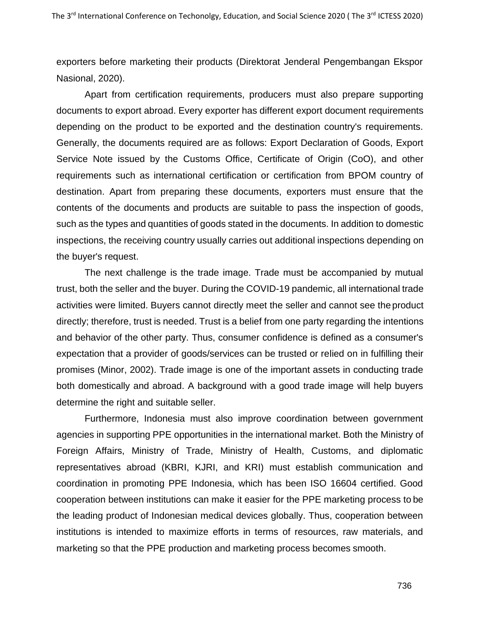exporters before marketing their products (Direktorat Jenderal Pengembangan Ekspor Nasional, 2020).

Apart from certification requirements, producers must also prepare supporting documents to export abroad. Every exporter has different export document requirements depending on the product to be exported and the destination country's requirements. Generally, the documents required are as follows: Export Declaration of Goods, Export Service Note issued by the Customs Office, Certificate of Origin (CoO), and other requirements such as international certification or certification from BPOM country of destination. Apart from preparing these documents, exporters must ensure that the contents of the documents and products are suitable to pass the inspection of goods, such as the types and quantities of goods stated in the documents. In addition to domestic inspections, the receiving country usually carries out additional inspections depending on the buyer's request.

The next challenge is the trade image. Trade must be accompanied by mutual trust, both the seller and the buyer. During the COVID-19 pandemic, all international trade activities were limited. Buyers cannot directly meet the seller and cannot see the product directly; therefore, trust is needed. Trust is a belief from one party regarding the intentions and behavior of the other party. Thus, consumer confidence is defined as a consumer's expectation that a provider of goods/services can be trusted or relied on in fulfilling their promises (Minor, 2002). Trade image is one of the important assets in conducting trade both domestically and abroad. A background with a good trade image will help buyers determine the right and suitable seller.

Furthermore, Indonesia must also improve coordination between government agencies in supporting PPE opportunities in the international market. Both the Ministry of Foreign Affairs, Ministry of Trade, Ministry of Health, Customs, and diplomatic representatives abroad (KBRI, KJRI, and KRI) must establish communication and coordination in promoting PPE Indonesia, which has been ISO 16604 certified. Good cooperation between institutions can make it easier for the PPE marketing process to be the leading product of Indonesian medical devices globally. Thus, cooperation between institutions is intended to maximize efforts in terms of resources, raw materials, and marketing so that the PPE production and marketing process becomes smooth.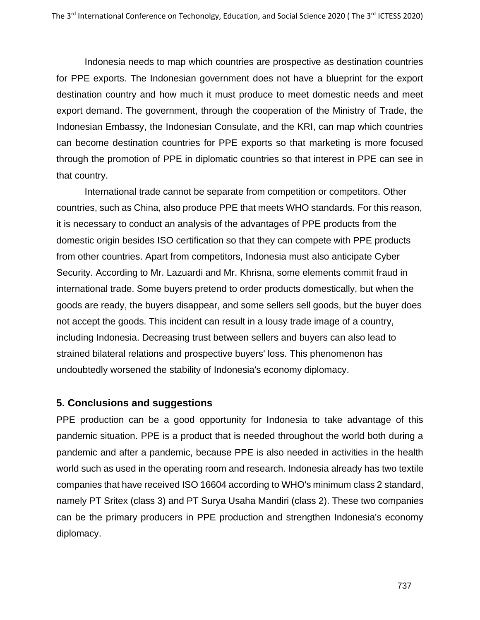Indonesia needs to map which countries are prospective as destination countries for PPE exports. The Indonesian government does not have a blueprint for the export destination country and how much it must produce to meet domestic needs and meet export demand. The government, through the cooperation of the Ministry of Trade, the Indonesian Embassy, the Indonesian Consulate, and the KRI, can map which countries can become destination countries for PPE exports so that marketing is more focused through the promotion of PPE in diplomatic countries so that interest in PPE can see in that country.

International trade cannot be separate from competition or competitors. Other countries, such as China, also produce PPE that meets WHO standards. For this reason, it is necessary to conduct an analysis of the advantages of PPE products from the domestic origin besides ISO certification so that they can compete with PPE products from other countries. Apart from competitors, Indonesia must also anticipate Cyber Security. According to Mr. Lazuardi and Mr. Khrisna, some elements commit fraud in international trade. Some buyers pretend to order products domestically, but when the goods are ready, the buyers disappear, and some sellers sell goods, but the buyer does not accept the goods. This incident can result in a lousy trade image of a country, including Indonesia. Decreasing trust between sellers and buyers can also lead to strained bilateral relations and prospective buyers' loss. This phenomenon has undoubtedly worsened the stability of Indonesia's economy diplomacy.

## **5. Conclusions and suggestions**

PPE production can be a good opportunity for Indonesia to take advantage of this pandemic situation. PPE is a product that is needed throughout the world both during a pandemic and after a pandemic, because PPE is also needed in activities in the health world such as used in the operating room and research. Indonesia already has two textile companies that have received ISO 16604 according to WHO's minimum class 2 standard, namely PT Sritex (class 3) and PT Surya Usaha Mandiri (class 2). These two companies can be the primary producers in PPE production and strengthen Indonesia's economy diplomacy.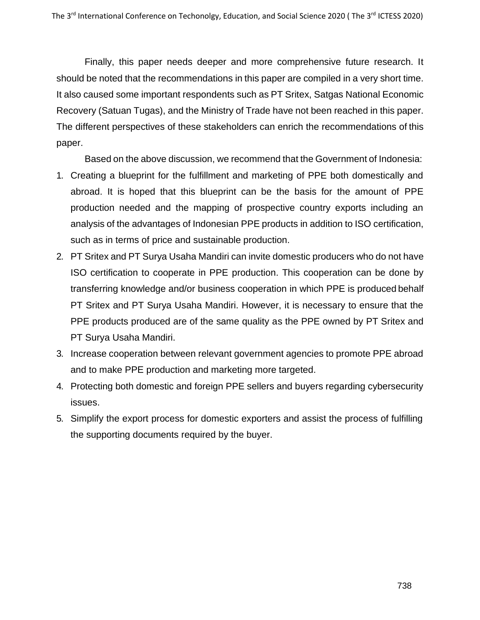Finally, this paper needs deeper and more comprehensive future research. It should be noted that the recommendations in this paper are compiled in a very short time. It also caused some important respondents such as PT Sritex, Satgas National Economic Recovery (Satuan Tugas), and the Ministry of Trade have not been reached in this paper. The different perspectives of these stakeholders can enrich the recommendations of this paper.

Based on the above discussion, we recommend that the Government of Indonesia:

- 1. Creating a blueprint for the fulfillment and marketing of PPE both domestically and abroad. It is hoped that this blueprint can be the basis for the amount of PPE production needed and the mapping of prospective country exports including an analysis of the advantages of Indonesian PPE products in addition to ISO certification, such as in terms of price and sustainable production.
- 2. PT Sritex and PT Surya Usaha Mandiri can invite domestic producers who do not have ISO certification to cooperate in PPE production. This cooperation can be done by transferring knowledge and/or business cooperation in which PPE is produced behalf PT Sritex and PT Surya Usaha Mandiri. However, it is necessary to ensure that the PPE products produced are of the same quality as the PPE owned by PT Sritex and PT Surya Usaha Mandiri.
- 3. Increase cooperation between relevant government agencies to promote PPE abroad and to make PPE production and marketing more targeted.
- 4. Protecting both domestic and foreign PPE sellers and buyers regarding cybersecurity issues.
- 5. Simplify the export process for domestic exporters and assist the process of fulfilling the supporting documents required by the buyer.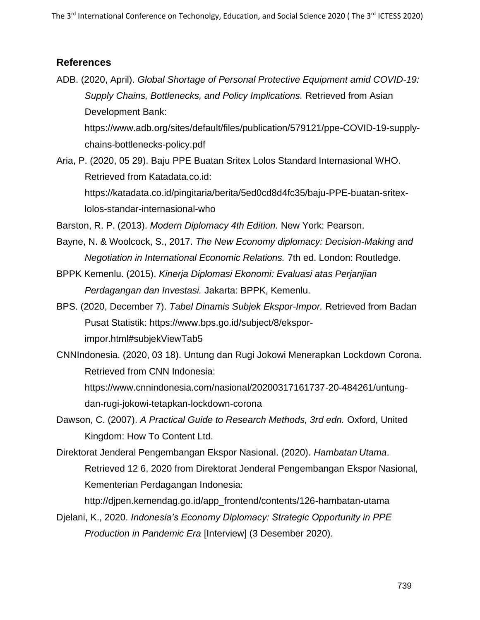## **References**

ADB. (2020, April). *Global Shortage of Personal Protective Equipment amid COVID-19: Supply Chains, Bottlenecks, and Policy Implications.* Retrieved from Asian Development Bank:

[https://www.adb.org/sites/default/files/publication/579121/ppe-COVID-19-supply](https://www.adb.org/sites/default/files/publication/579121/ppe-covid-19-supply-chains-bottlenecks-policy.pdf)[chains-bottlenecks-policy.pdf](https://www.adb.org/sites/default/files/publication/579121/ppe-covid-19-supply-chains-bottlenecks-policy.pdf)

Aria, P. (2020, 05 29). Baju PPE Buatan Sritex Lolos Standard Internasional WHO. Retrieved from Katadata.co.id: https://katadata.co.id/pingitaria/berita/5ed0cd8d4fc35/baju-PPE-buatan-sritexlolos-standar-internasional-who

Barston, R. P. (2013). *Modern Diplomacy 4th Edition.* New York: Pearson.

Bayne, N. & Woolcock, S., 2017. *The New Economy diplomacy: Decision-Making and Negotiation in International Economic Relations.* 7th ed. London: Routledge.

BPPK Kemenlu. (2015). *Kinerja Diplomasi Ekonomi: Evaluasi atas Perjanjian Perdagangan dan Investasi.* Jakarta: BPPK, Kemenlu.

- BPS. (2020, December 7). *Tabel Dinamis Subjek Ekspor-Impor.* Retrieved from Badan Pusat Statistik: [https://www.bps.go.id/subject/8/ekspor](https://www.bps.go.id/subject/8/ekspor-impor.html#subjekViewTab5)[impor.html#subjekViewTab5](https://www.bps.go.id/subject/8/ekspor-impor.html#subjekViewTab5)
- CNNIndonesia. (2020, 03 18). Untung dan Rugi Jokowi Menerapkan Lockdown Corona. Retrieved from CNN Indonesia:

https:/[/www.cnnindonesia.com/nasional/20200317161737-20-484261/untung](http://www.cnnindonesia.com/nasional/20200317161737-20-484261/untung-)dan-rugi-jokowi-tetapkan-lockdown-corona

- Dawson, C. (2007). *A Practical Guide to Research Methods, 3rd edn.* Oxford, United Kingdom: How To Content Ltd.
- Direktorat Jenderal Pengembangan Ekspor Nasional. (2020). *Hambatan Utama*. Retrieved 12 6, 2020 from Direktorat Jenderal Pengembangan Ekspor Nasional, Kementerian Perdagangan Indonesia:

[http://djpen.kemendag.go.id/app\\_frontend/contents/126-hambatan-utama](http://djpen.kemendag.go.id/app_frontend/contents/126-hambatan-utama)

Djelani, K., 2020. *Indonesia's Economy Diplomacy: Strategic Opportunity in PPE Production in Pandemic Era* [Interview] (3 Desember 2020).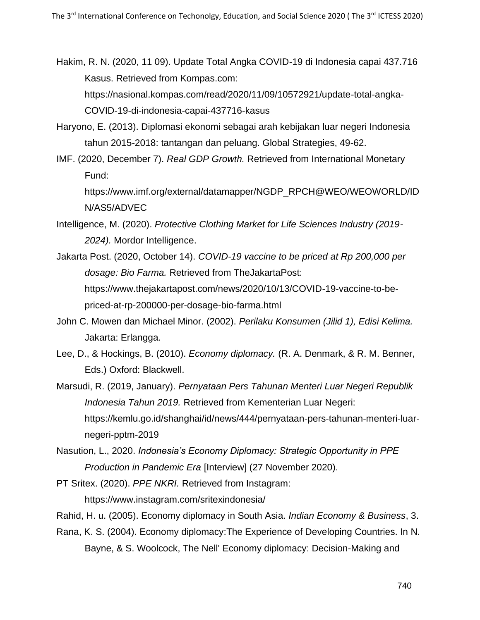Hakim, R. N. (2020, 11 09). Update Total Angka COVID-19 di Indonesia capai 437.716 Kasus. Retrieved from Kompas.com: https://nasional.kompas.com/read/2020/11/09/10572921/update-total-angka-COVID-19-di-indonesia-capai-437716-kasus

- Haryono, E. (2013). Diplomasi ekonomi sebagai arah kebijakan luar negeri Indonesia tahun 2015-2018: tantangan dan peluang. Global Strategies, 49-62.
- IMF. (2020, December 7). *Real GDP Growth.* Retrieved from International Monetary Fund:

[https://www.imf.org/external/datamapper/NGDP\\_RPCH@WEO/WEOWORLD/ID](https://www.imf.org/external/datamapper/NGDP_RPCH%40WEO/WEOWORLD/IDN/AS5/ADVEC) [N/AS5/ADVEC](https://www.imf.org/external/datamapper/NGDP_RPCH%40WEO/WEOWORLD/IDN/AS5/ADVEC)

- Intelligence, M. (2020). *Protective Clothing Market for Life Sciences Industry (2019- 2024).* Mordor Intelligence.
- Jakarta Post. (2020, October 14). *COVID-19 vaccine to be priced at Rp 200,000 per dosage: Bio Farma.* Retrieved from TheJakartaPost: [https://www.thejakartapost.com/news/2020/10/13/COVID-19-vaccine-to-be](https://www.thejakartapost.com/news/2020/10/13/covid-19-vaccine-to-be-priced-at-rp-200000-per-dosage-bio-farma.html)[priced-at-rp-200000-per-dosage-bio-farma.html](https://www.thejakartapost.com/news/2020/10/13/covid-19-vaccine-to-be-priced-at-rp-200000-per-dosage-bio-farma.html)
- John C. Mowen dan Michael Minor. (2002). *Perilaku Konsumen (Jilid 1), Edisi Kelima.* Jakarta: Erlangga.
- Lee, D., & Hockings, B. (2010). *Economy diplomacy.* (R. A. Denmark, & R. M. Benner, Eds.) Oxford: Blackwell.

Marsudi, R. (2019, January). *Pernyataan Pers Tahunan Menteri Luar Negeri Republik Indonesia Tahun 2019.* Retrieved from Kementerian Luar Negeri: [https://kemlu.go.id/shanghai/id/news/444/pernyataan-pers-tahunan-menteri-luar](https://kemlu.go.id/shanghai/id/news/444/pernyataan-pers-tahunan-menteri-luar-negeri-pptm-2019)[negeri-pptm-2019](https://kemlu.go.id/shanghai/id/news/444/pernyataan-pers-tahunan-menteri-luar-negeri-pptm-2019)

- Nasution, L., 2020. *Indonesia's Economy Diplomacy: Strategic Opportunity in PPE Production in Pandemic Era* [Interview] (27 November 2020).
- PT Sritex. (2020). *PPE NKRI.* Retrieved from Instagram: <https://www.instagram.com/sritexindonesia/>
- Rahid, H. u. (2005). Economy diplomacy in South Asia. *Indian Economy & Business*, 3.
- Rana, K. S. (2004). Economy diplomacy:The Experience of Developing Countries. In N. Bayne, & S. Woolcock, The Nell' Economy diplomacy: Decision-Making and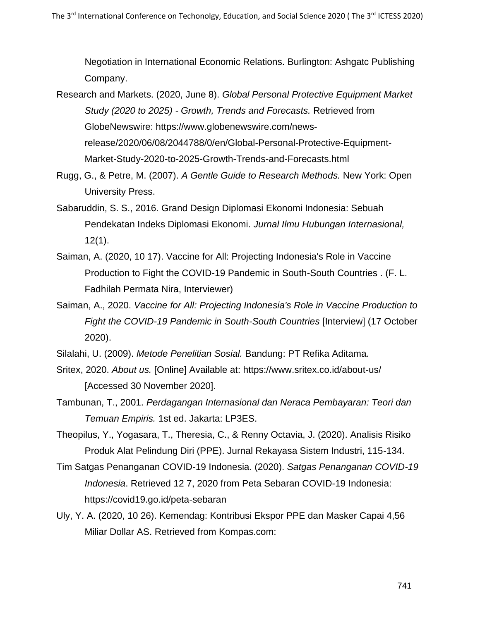Negotiation in International Economic Relations. Burlington: Ashgatc Publishing Company.

- Research and Markets. (2020, June 8). *Global Personal Protective Equipment Market Study (2020 to 2025) - Growth, Trends and Forecasts.* Retrieved from GlobeNewswire: [https://www.globenewswire.com/news](https://www.globenewswire.com/news-release/2020/06/08/2044788/0/en/Global-Personal-Protective-Equipment-Market-Study-2020-to-2025-Growth-Trends-and-Forecasts.html)[release/2020/06/08/2044788/0/en/Global-Personal-Protective-Equipment-](https://www.globenewswire.com/news-release/2020/06/08/2044788/0/en/Global-Personal-Protective-Equipment-Market-Study-2020-to-2025-Growth-Trends-and-Forecasts.html)[Market-Study-2020-to-2025-Growth-Trends-and-Forecasts.html](https://www.globenewswire.com/news-release/2020/06/08/2044788/0/en/Global-Personal-Protective-Equipment-Market-Study-2020-to-2025-Growth-Trends-and-Forecasts.html)
- Rugg, G., & Petre, M. (2007). *A Gentle Guide to Research Methods.* New York: Open University Press.
- Sabaruddin, S. S., 2016. Grand Design Diplomasi Ekonomi Indonesia: Sebuah Pendekatan Indeks Diplomasi Ekonomi. *Jurnal Ilmu Hubungan Internasional,*  12(1).
- Saiman, A. (2020, 10 17). Vaccine for All: Projecting Indonesia's Role in Vaccine Production to Fight the COVID-19 Pandemic in South-South Countries . (F. L. Fadhilah Permata Nira, Interviewer)
- Saiman, A., 2020. *Vaccine for All: Projecting Indonesia's Role in Vaccine Production to Fight the COVID-19 Pandemic in South-South Countries* [Interview] (17 October 2020).

Silalahi, U. (2009). *Metode Penelitian Sosial.* Bandung: PT Refika Aditama.

- Sritex, 2020. *About us.* [Online] Available at:<https://www.sritex.co.id/about-us/> [Accessed 30 November 2020].
- Tambunan, T., 2001. *Perdagangan Internasional dan Neraca Pembayaran: Teori dan Temuan Empiris.* 1st ed. Jakarta: LP3ES.
- Theopilus, Y., Yogasara, T., Theresia, C., & Renny Octavia, J. (2020). Analisis Risiko Produk Alat Pelindung Diri (PPE). Jurnal Rekayasa Sistem Industri, 115-134.
- Tim Satgas Penanganan COVID-19 Indonesia. (2020). *Satgas Penanganan COVID-19 Indonesia*. Retrieved 12 7, 2020 from Peta Sebaran COVID-19 Indonesia: <https://covid19.go.id/peta-sebaran>
- Uly, Y. A. (2020, 10 26). Kemendag: Kontribusi Ekspor PPE dan Masker Capai 4,56 Miliar Dollar AS. Retrieved from Kompas.com: